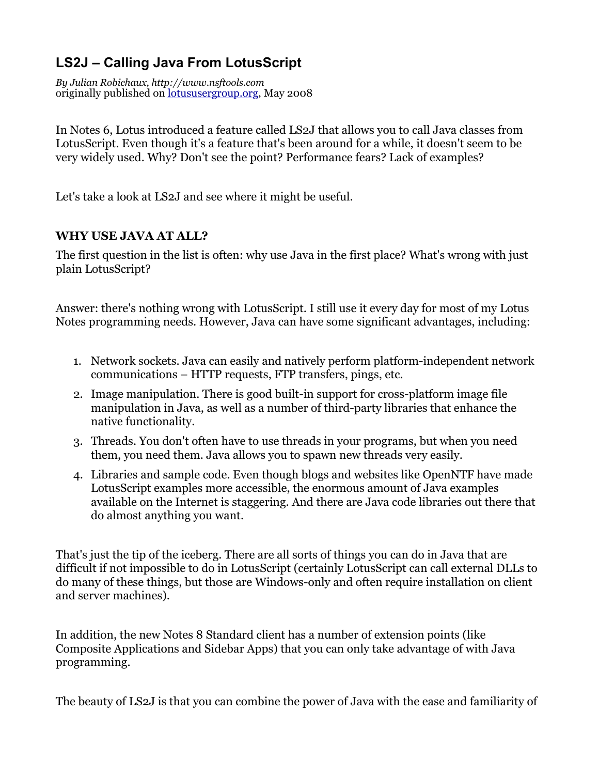## **LS2J – Calling Java From LotusScript**

*By Julian Robichaux, http://www.nsftools.com*  originally published on [lotususergroup.org](http://lotususergroup.org), May 2008

In Notes 6, Lotus introduced a feature called LS2J that allows you to call Java classes from LotusScript. Even though it's a feature that's been around for a while, it doesn't seem to be very widely used. Why? Don't see the point? Performance fears? Lack of examples?

Let's take a look at LS2J and see where it might be useful.

## **WHY USE JAVA AT ALL?**

The first question in the list is often: why use Java in the first place? What's wrong with just plain LotusScript?

Answer: there's nothing wrong with LotusScript. I still use it every day for most of my Lotus Notes programming needs. However, Java can have some significant advantages, including:

- 1. Network sockets. Java can easily and natively perform platform-independent network communications – HTTP requests, FTP transfers, pings, etc.
- 2. Image manipulation. There is good built-in support for cross-platform image file manipulation in Java, as well as a number of third-party libraries that enhance the native functionality.
- 3. Threads. You don't often have to use threads in your programs, but when you need them, you need them. Java allows you to spawn new threads very easily.
- 4. Libraries and sample code. Even though blogs and websites like OpenNTF have made LotusScript examples more accessible, the enormous amount of Java examples available on the Internet is staggering. And there are Java code libraries out there that do almost anything you want.

That's just the tip of the iceberg. There are all sorts of things you can do in Java that are difficult if not impossible to do in LotusScript (certainly LotusScript can call external DLLs to do many of these things, but those are Windows-only and often require installation on client and server machines).

In addition, the new Notes 8 Standard client has a number of extension points (like Composite Applications and Sidebar Apps) that you can only take advantage of with Java programming.

The beauty of LS2J is that you can combine the power of Java with the ease and familiarity of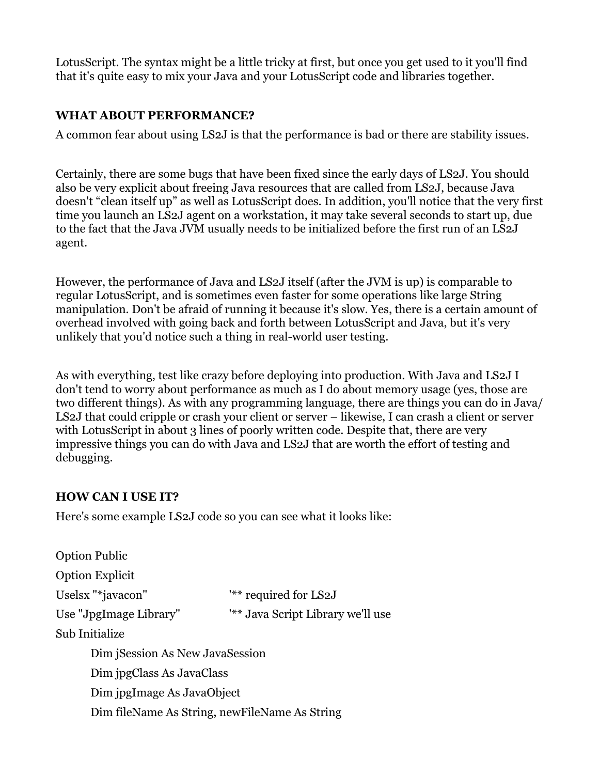LotusScript. The syntax might be a little tricky at first, but once you get used to it you'll find that it's quite easy to mix your Java and your LotusScript code and libraries together.

## **WHAT ABOUT PERFORMANCE?**

A common fear about using LS2J is that the performance is bad or there are stability issues.

Certainly, there are some bugs that have been fixed since the early days of LS2J. You should also be very explicit about freeing Java resources that are called from LS2J, because Java doesn't "clean itself up" as well as LotusScript does. In addition, you'll notice that the very first time you launch an LS2J agent on a workstation, it may take several seconds to start up, due to the fact that the Java JVM usually needs to be initialized before the first run of an LS2J agent.

However, the performance of Java and LS2J itself (after the JVM is up) is comparable to regular LotusScript, and is sometimes even faster for some operations like large String manipulation. Don't be afraid of running it because it's slow. Yes, there is a certain amount of overhead involved with going back and forth between LotusScript and Java, but it's very unlikely that you'd notice such a thing in real-world user testing.

As with everything, test like crazy before deploying into production. With Java and LS2J I don't tend to worry about performance as much as I do about memory usage (yes, those are two different things). As with any programming language, there are things you can do in Java/ LS2J that could cripple or crash your client or server – likewise, I can crash a client or server with LotusScript in about 3 lines of poorly written code. Despite that, there are very impressive things you can do with Java and LS2J that are worth the effort of testing and debugging.

## **HOW CAN I USE IT?**

Here's some example LS2J code so you can see what it looks like:

| <b>Option Public</b>                          |                                   |
|-----------------------------------------------|-----------------------------------|
| <b>Option Explicit</b>                        |                                   |
| Uselsx "*javacon"                             | "** required for LS2J             |
| Use "JpgImage Library"                        | '** Java Script Library we'll use |
| Sub Initialize                                |                                   |
| Dim Session As New JavaSession                |                                   |
| Dim jpgClass As JavaClass                     |                                   |
| Dim jpgImage As JavaObject                    |                                   |
| Dim fileName As String, newFileName As String |                                   |
|                                               |                                   |